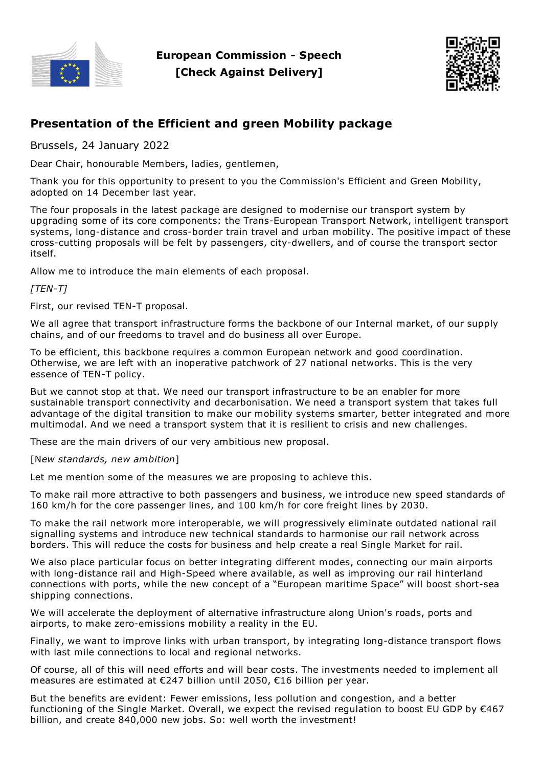

**European Commission - Speech [Check Against Delivery]**



# **Presentation of the Efficient and green Mobility package**

Brussels, 24 January 2022

Dear Chair, honourable Members, ladies, gentlemen,

Thank you for this opportunity to present to you the Commission's Efficient and Green Mobility, adopted on 14 December last year.

The four proposals in the latest package are designed to modernise our transport system by upgrading some of its core components: the Trans-European Transport Network, intelligent transport systems, long-distance and cross-border train travel and urban mobility. The positive impact of these cross-cutting proposals will be felt by passengers, city-dwellers, and of course the transport sector itself.

Allow me to introduce the main elements of each proposal.

*[TEN-T]*

First, our revised TEN-T proposal.

We all agree that transport infrastructure forms the backbone of our Internal market, of our supply chains, and of our freedoms to travel and do business all over Europe.

To be efficient, this backbone requires a common European network and good coordination. Otherwise, we are left with an inoperative patchwork of 27 national networks. This is the very essence of TEN-T policy.

But we cannot stop at that. We need our transport infrastructure to be an enabler for more sustainable transport connectivity and decarbonisation. We need a transport system that takes full advantage of the digital transition to make our mobility systems smarter, better integrated and more multimodal. And we need a transport system that it is resilient to crisis and new challenges.

These are the main drivers of our very ambitious new proposal.

[N*ew standards, new ambition*]

Let me mention some of the measures we are proposing to achieve this.

To make rail more attractive to both passengers and business, we introduce new speed standards of 160 km/h for the core passenger lines, and 100 km/h for core freight lines by 2030.

To make the rail network more interoperable, we will progressively eliminate outdated national rail signalling systems and introduce new technical standards to harmonise our rail network across borders. This will reduce the costs for business and help create a real Single Market for rail.

We also place particular focus on better integrating different modes, connecting our main airports with long-distance rail and High-Speed where available, as well as improving our rail hinterland connections with ports, while the new concept of a "European maritime Space" will boost short-sea shipping connections.

We will accelerate the deployment of alternative infrastructure along Union's roads, ports and airports, to make zero-emissions mobility a reality in the EU.

Finally, we want to improve links with urban transport, by integrating long-distance transport flows with last mile connections to local and regional networks.

Of course, all of this will need efforts and will bear costs. The investments needed to implement all measures are estimated at €247 billion until 2050, €16 billion per year.

But the benefits are evident: Fewer emissions, less pollution and congestion, and a better functioning of the Single Market. Overall, we expect the revised regulation to boost EU GDP by €467 billion, and create 840,000 new jobs. So: well worth the investment!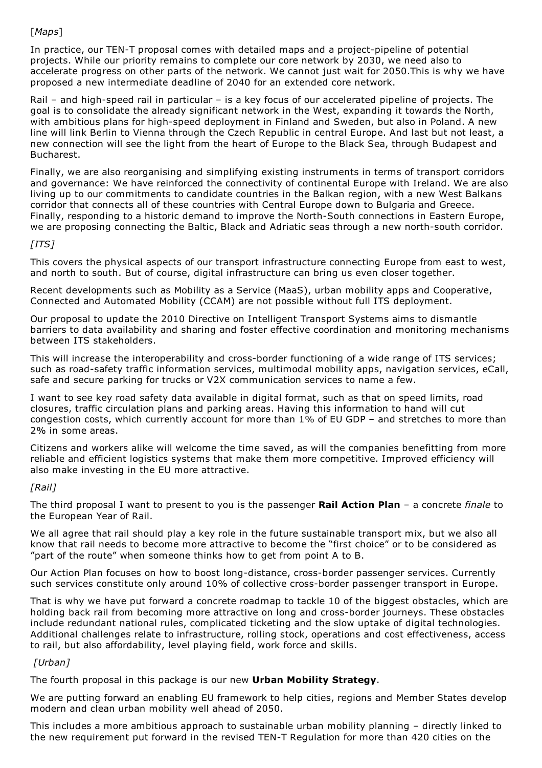# [*Maps*]

In practice, our TEN-T proposal comes with detailed maps and a project-pipeline of potential projects. While our priority remains to complete our core network by 2030, we need also to accelerate progress on other parts of the network. We cannot just wait for 2050.This is why we have proposed a new intermediate deadline of 2040 for an extended core network.

Rail – and high-speed rail in particular – is a key focus of our accelerated pipeline of projects. The goal is to consolidate the already significant network in the West, expanding it towards the North, with ambitious plans for high-speed deployment in Finland and Sweden, but also in Poland. A new line will link Berlin to Vienna through the Czech Republic in central Europe. And last but not least, a new connection will see the light from the heart of Europe to the Black Sea, through Budapest and Bucharest.

Finally, we are also reorganising and simplifying existing instruments in terms of transport corridors and governance: We have reinforced the connectivity of continental Europe with Ireland. We are also living up to our commitments to candidate countries in the Balkan region, with a new West Balkans corridor that connects all of these countries with Central Europe down to Bulgaria and Greece. Finally, responding to a historic demand to improve the North-South connections in Eastern Europe, we are proposing connecting the Baltic, Black and Adriatic seas through a new north-south corridor.

# *[ITS]*

This covers the physical aspects of our transport infrastructure connecting Europe from east to west, and north to south. But of course, digital infrastructure can bring us even closer together.

Recent developments such as Mobility as a Service (MaaS), urban mobility apps and Cooperative, Connected and Automated Mobility (CCAM) are not possible without full ITS deployment.

Our proposal to update the 2010 Directive on Intelligent Transport Systems aims to dismantle barriers to data availability and sharing and foster effective coordination and monitoring mechanisms between ITS stakeholders.

This will increase the interoperability and cross-border functioning of a wide range of ITS services; such as road-safety traffic information services, multimodal mobility apps, navigation services, eCall, safe and secure parking for trucks or V2X communication services to name a few.

I want to see key road safety data available in digital format, such as that on speed limits, road closures, traffic circulation plans and parking areas. Having this information to hand will cut congestion costs, which currently account for more than 1% of EU GDP – and stretches to more than 2% in some areas.

Citizens and workers alike will welcome the time saved, as will the companies benefitting from more reliable and efficient logistics systems that make them more competitive. Improved efficiency will also make investing in the EU more attractive.

### *[Rail]*

The third proposal I want to present to you is the passenger **Rail Action Plan** – a concrete *finale* to the European Year of Rail.

We all agree that rail should play a key role in the future sustainable transport mix, but we also all know that rail needs to become more attractive to become the "first choice" or to be considered as "part of the route" when someone thinks how to get from point A to B.

Our Action Plan focuses on how to boost long-distance, cross-border passenger services. Currently such services constitute only around 10% of collective cross-border passenger transport in Europe.

That is why we have put forward a concrete roadmap to tackle 10 of the biggest obstacles, which are holding back rail from becoming more attractive on long and cross-border journeys. These obstacles include redundant national rules, complicated ticketing and the slow uptake of digital technologies. Additional challenges relate to infrastructure, rolling stock, operations and cost effectiveness, access to rail, but also affordability, level playing field, work force and skills.

### *[Urban]*

The fourth proposal in this package is our new **Urban Mobility Strategy**.

We are putting forward an enabling EU framework to help cities, regions and Member States develop modern and clean urban mobility well ahead of 2050.

This includes a more ambitious approach to sustainable urban mobility planning – directly linked to the new requirement put forward in the revised TEN-T Regulation for more than 420 cities on the